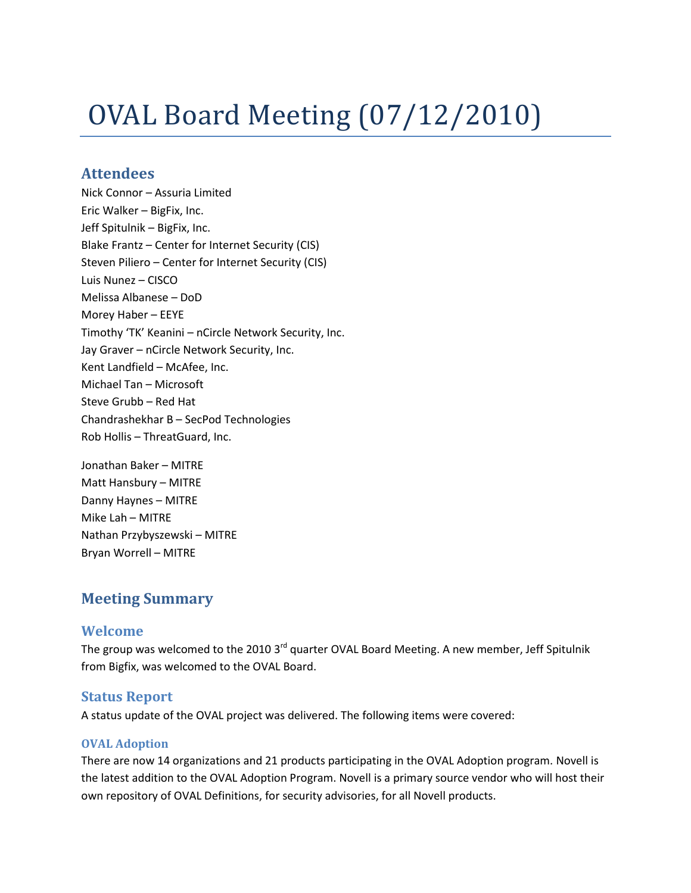# OVAL Board Meeting (07/12/2010)

## **Attendees**

Nick Connor – Assuria Limited Eric Walker – BigFix, Inc. Jeff Spitulnik – BigFix, Inc. Blake Frantz – Center for Internet Security (CIS) Steven Piliero – Center for Internet Security (CIS) Luis Nunez – CISCO Melissa Albanese – DoD Morey Haber – EEYE Timothy 'TK' Keanini – nCircle Network Security, Inc. Jay Graver – nCircle Network Security, Inc. Kent Landfield – McAfee, Inc. Michael Tan – Microsoft Steve Grubb – Red Hat Chandrashekhar B – SecPod Technologies Rob Hollis – ThreatGuard, Inc.

Jonathan Baker – MITRE Matt Hansbury – MITRE Danny Haynes – MITRE Mike Lah – MITRE Nathan Przybyszewski – MITRE Bryan Worrell – MITRE

# **Meeting Summary**

## **Welcome**

The group was welcomed to the 2010 3<sup>rd</sup> quarter OVAL Board Meeting. A new member, Jeff Spitulnik from Bigfix, was welcomed to the OVAL Board.

## **Status Report**

A status update of the OVAL project was delivered. The following items were covered:

#### **OVAL Adoption**

There are now 14 organizations and 21 products participating in the OVAL Adoption program. Novell is the latest addition to the OVAL Adoption Program. Novell is a primary source vendor who will host their own repository of OVAL Definitions, for security advisories, for all Novell products.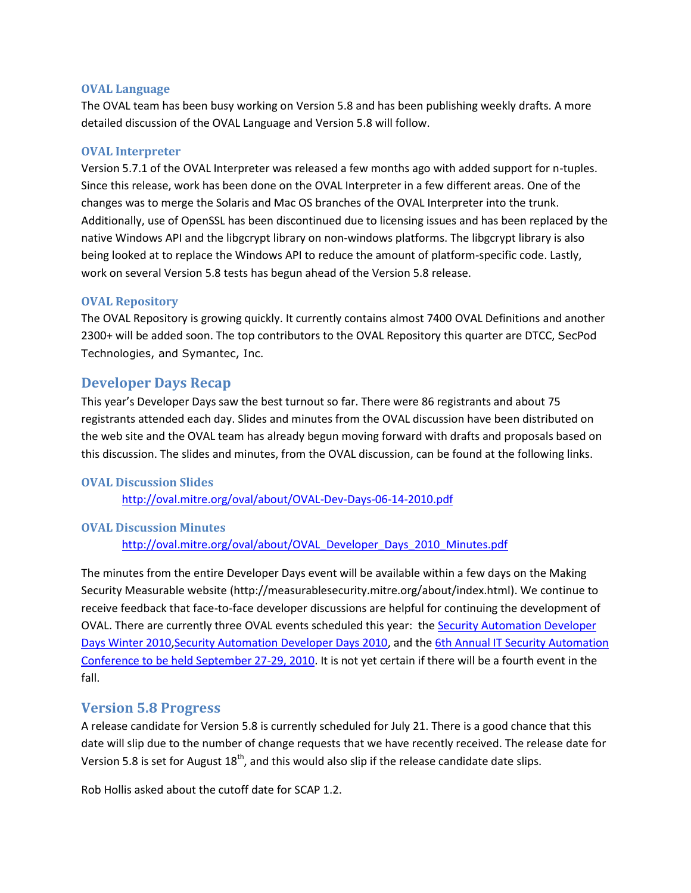#### **OVAL Language**

The OVAL team has been busy working on Version 5.8 and has been publishing weekly drafts. A more detailed discussion of the OVAL Language and Version 5.8 will follow.

#### **OVAL Interpreter**

Version 5.7.1 of the OVAL Interpreter was released a few months ago with added support for n-tuples. Since this release, work has been done on the OVAL Interpreter in a few different areas. One of the changes was to merge the Solaris and Mac OS branches of the OVAL Interpreter into the trunk. Additionally, use of OpenSSL has been discontinued due to licensing issues and has been replaced by the native Windows API and the libgcrypt library on non-windows platforms. The libgcrypt library is also being looked at to replace the Windows API to reduce the amount of platform-specific code. Lastly, work on several Version 5.8 tests has begun ahead of the Version 5.8 release.

#### **OVAL Repository**

The OVAL Repository is growing quickly. It currently contains almost 7400 OVAL Definitions and another 2300+ will be added soon. The top contributors to the OVAL Repository this quarter are DTCC, SecPod Technologies, and Symantec, Inc.

### **Developer Days Recap**

This year's Developer Days saw the best turnout so far. There were 86 registrants and about 75 registrants attended each day. Slides and minutes from the OVAL discussion have been distributed on the web site and the OVAL team has already begun moving forward with drafts and proposals based on this discussion. The slides and minutes, from the OVAL discussion, can be found at the following links.

#### **OVAL Discussion Slides**

<http://oval.mitre.org/oval/about/OVAL-Dev-Days-06-14-2010.pdf>

#### **OVAL Discussion Minutes**

http://oval.mitre.org/oval/about/OVAL Developer Days 2010 Minutes.pdf

The minutes from the entire Developer Days event will be available within a few days on the Making Security Measurable website (http://measurablesecurity.mitre.org/about/index.html). We continue to receive feedback that face-to-face developer discussions are helpful for continuing the development of OVAL. There are currently three OVAL events scheduled this year: the [Security Automation Developer](http://msm.mitre.org/participation/devdays.html#winter2010)  [Days Winter 2010](http://msm.mitre.org/participation/devdays.html#winter2010)[,Security Automation Developer Days 2010,](http://msm.mitre.org/participation/devdays.html#2010) and th[e 6th Annual IT Security Automation](http://scap.nist.gov/events/index.html)  [Conference to be held September 27-29, 2010.](http://scap.nist.gov/events/index.html) It is not yet certain if there will be a fourth event in the fall.

#### **Version 5.8 Progress**

A release candidate for Version 5.8 is currently scheduled for July 21. There is a good chance that this date will slip due to the number of change requests that we have recently received. The release date for Version 5.8 is set for August  $18<sup>th</sup>$ , and this would also slip if the release candidate date slips.

Rob Hollis asked about the cutoff date for SCAP 1.2.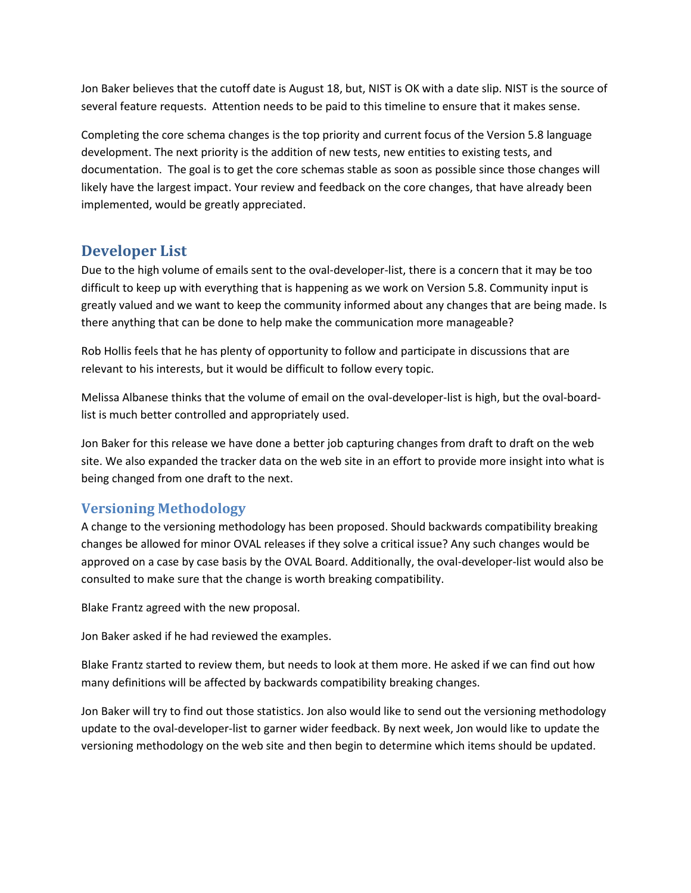Jon Baker believes that the cutoff date is August 18, but, NIST is OK with a date slip. NIST is the source of several feature requests. Attention needs to be paid to this timeline to ensure that it makes sense.

Completing the core schema changes is the top priority and current focus of the Version 5.8 language development. The next priority is the addition of new tests, new entities to existing tests, and documentation. The goal is to get the core schemas stable as soon as possible since those changes will likely have the largest impact. Your review and feedback on the core changes, that have already been implemented, would be greatly appreciated.

# **Developer List**

Due to the high volume of emails sent to the oval-developer-list, there is a concern that it may be too difficult to keep up with everything that is happening as we work on Version 5.8. Community input is greatly valued and we want to keep the community informed about any changes that are being made. Is there anything that can be done to help make the communication more manageable?

Rob Hollis feels that he has plenty of opportunity to follow and participate in discussions that are relevant to his interests, but it would be difficult to follow every topic.

Melissa Albanese thinks that the volume of email on the oval-developer-list is high, but the oval-boardlist is much better controlled and appropriately used.

Jon Baker for this release we have done a better job capturing changes from draft to draft on the web site. We also expanded the tracker data on the web site in an effort to provide more insight into what is being changed from one draft to the next.

## **Versioning Methodology**

A change to the versioning methodology has been proposed. Should backwards compatibility breaking changes be allowed for minor OVAL releases if they solve a critical issue? Any such changes would be approved on a case by case basis by the OVAL Board. Additionally, the oval-developer-list would also be consulted to make sure that the change is worth breaking compatibility.

Blake Frantz agreed with the new proposal.

Jon Baker asked if he had reviewed the examples.

Blake Frantz started to review them, but needs to look at them more. He asked if we can find out how many definitions will be affected by backwards compatibility breaking changes.

Jon Baker will try to find out those statistics. Jon also would like to send out the versioning methodology update to the oval-developer-list to garner wider feedback. By next week, Jon would like to update the versioning methodology on the web site and then begin to determine which items should be updated.